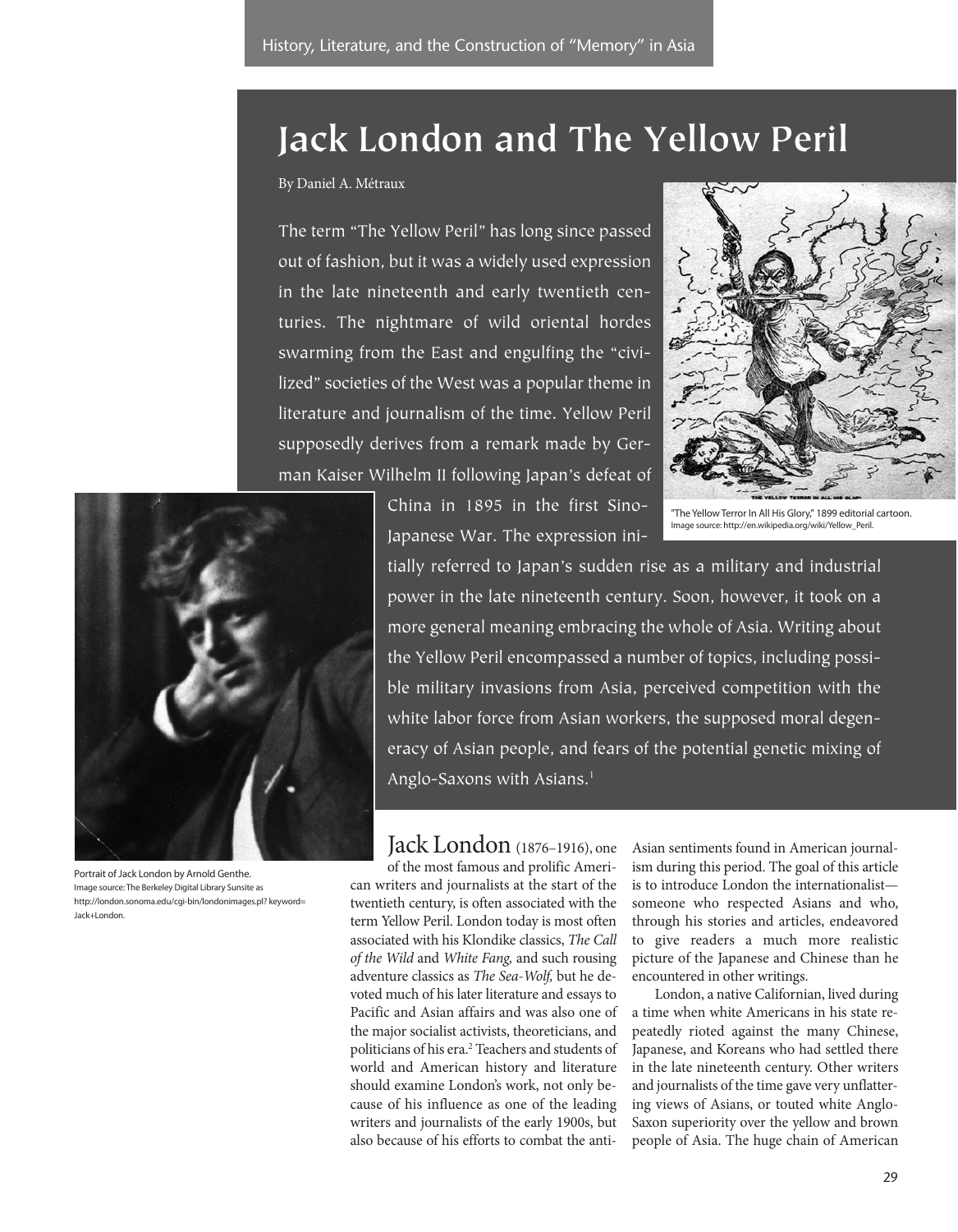# **Jack London and The Yellow Peril**

By Daniel A. Métraux

The term "The Yellow Peril" has long since passed out of fashion, but it was a widely used expression in the late nineteenth and early twentieth centuries. The nightmare of wild oriental hordes swarming from the East and engulfing the "civilized" societies of the West was a popular theme in literature and journalism of the time. Yellow Peril supposedly derives from a remark made by German Kaiser Wilhelm II following Japan's defeat of



"The Yellow Terror In All His Glory," 1899 editorial cartoon. Image source: http://en.wikipedia.org/wiki/Yellow\_Peril.



Portrait of Jack London by Arnold Genthe. Image source: The Berkeley Digital Library Sunsite as http://london.sonoma.edu/cgi-bin/londonimages.pl? keyword= Jack+London.

tially referred to Japan's sudden rise as a military and industrial power in the late nineteenth century. Soon, however, it took on a more general meaning embracing the whole of Asia. Writing about the Yellow Peril encompassed a number of topics, including possible military invasions from Asia, perceived competition with the white labor force from Asian workers, the supposed moral degeneracy of Asian people, and fears of the potential genetic mixing of Anglo-Saxons with Asians.<sup>1</sup>

Jack London (1876–1916), one

of the most famous and prolific American writers and journalists at the start of the twentieth century, is often associated with the term Yellow Peril. London today is most often associated with his Klondike classics, The Call of the Wild and White Fang, and such rousing adventure classics as The Sea-Wolf, but he devoted much of his later literature and essays to Pacific and Asian affairs and was also one of the major socialist activists, theoreticians, and politicians of his era.<sup>2</sup> Teachers and students of world and American history and literature should examine London's work, not only because of his influence as one of the leading writers and journalists of the early 1900s, but also because of his efforts to combat the antiAsian sentiments found in American journalism during this period. The goal of this article is to introduce London the internationalist someone who respected Asians and who, through his stories and articles, endeavored to give readers a much more realistic picture of the Japanese and Chinese than he encountered in other writings.

London, a native Californian, lived during a time when white Americans in his state repeatedly rioted against the many Chinese, Japanese, and Koreans who had settled there in the late nineteenth century. Other writers and journalists of the time gave very unflattering views of Asians, or touted white Anglo-Saxon superiority over the yellow and brown people of Asia. The huge chain of American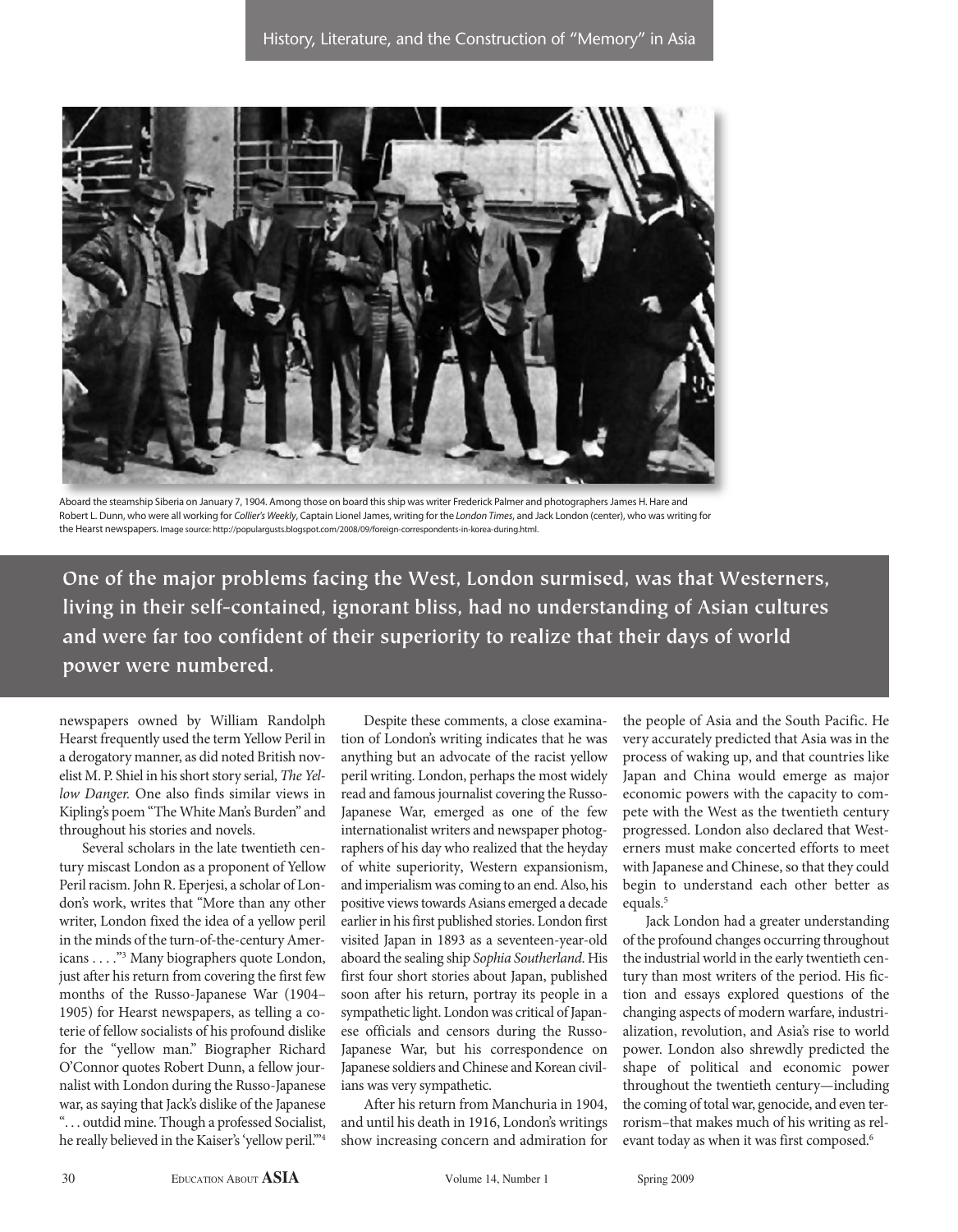

Aboard the steamship Siberia on January 7, 1904. Among those on board this ship was writer Frederick Palmer and photographers James H. Hare and Robert L. Dunn, who were all working for Collier's Weekly, Captain Lionel James, writing for the London Times, and Jack London (center), who was writing for the Hearst newspapers. Image source: http://populargusts.blogspot.com/2008/09/foreign-correspondents-in-korea-during.html.

**One of the major problems facing the West, London surmised, was that Westerners, living in their self-contained, ignorant bliss, had no understanding of Asian cultures and were far too confident of their superiority to realize that their days of world power were numbered.**

newspapers owned by William Randolph Hearst frequently used the term Yellow Peril in a derogatory manner, as did noted British novelist M. P. Shiel in his short story serial, The Yellow Danger. One also finds similar views in Kipling's poem "The White Man's Burden" and throughout his stories and novels.

Several scholars in the late twentieth century miscast London as a proponent of Yellow Peril racism. John R. Eperjesi, a scholar of London's work, writes that "More than any other writer, London fixed the idea of a yellow peril in the minds of the turn-of-the-century Americans . . . ."3 Many biographers quote London, just after his return from covering the first few months of the Russo-Japanese War (1904– 1905) for Hearst newspapers, as telling a coterie of fellow socialists of his profound dislike for the "yellow man." Biographer Richard O'Connor quotes Robert Dunn, a fellow journalist with London during the Russo-Japanese war, as saying that Jack's dislike of the Japanese ". . . outdid mine. Though a professed Socialist, he really believed in the Kaiser's 'yellow peril."<sup>4</sup>

Despite these comments, a close examination of London's writing indicates that he was anything but an advocate of the racist yellow peril writing. London, perhaps the most widely read and famous journalist covering the Russo-Japanese War, emerged as one of the few internationalist writers and newspaper photographers of his day who realized that the heyday of white superiority, Western expansionism, and imperialism was coming to an end. Also, his positive views towards Asians emerged a decade earlier in his first published stories. London first visited Japan in 1893 as a seventeen-year-old aboard the sealing ship Sophia Southerland. His first four short stories about Japan, published soon after his return, portray its people in a sympathetic light. London was critical of Japanese officials and censors during the Russo-Japanese War, but his correspondence on Japanese soldiers and Chinese and Korean civilians was very sympathetic.

After his return from Manchuria in 1904, and until his death in 1916, London's writings show increasing concern and admiration for the people of Asia and the South Pacific. He very accurately predicted that Asia was in the process of waking up, and that countries like Japan and China would emerge as major economic powers with the capacity to compete with the West as the twentieth century progressed. London also declared that Westerners must make concerted efforts to meet with Japanese and Chinese, so that they could begin to understand each other better as equals.<sup>5</sup>

Jack London had a greater understanding of the profound changes occurring throughout the industrial world in the early twentieth century than most writers of the period. His fiction and essays explored questions of the changing aspects of modern warfare, industrialization, revolution, and Asia's rise to world power. London also shrewdly predicted the shape of political and economic power throughout the twentieth century—including the coming of total war, genocide, and even terrorism–that makes much of his writing as relevant today as when it was first composed.<sup>6</sup>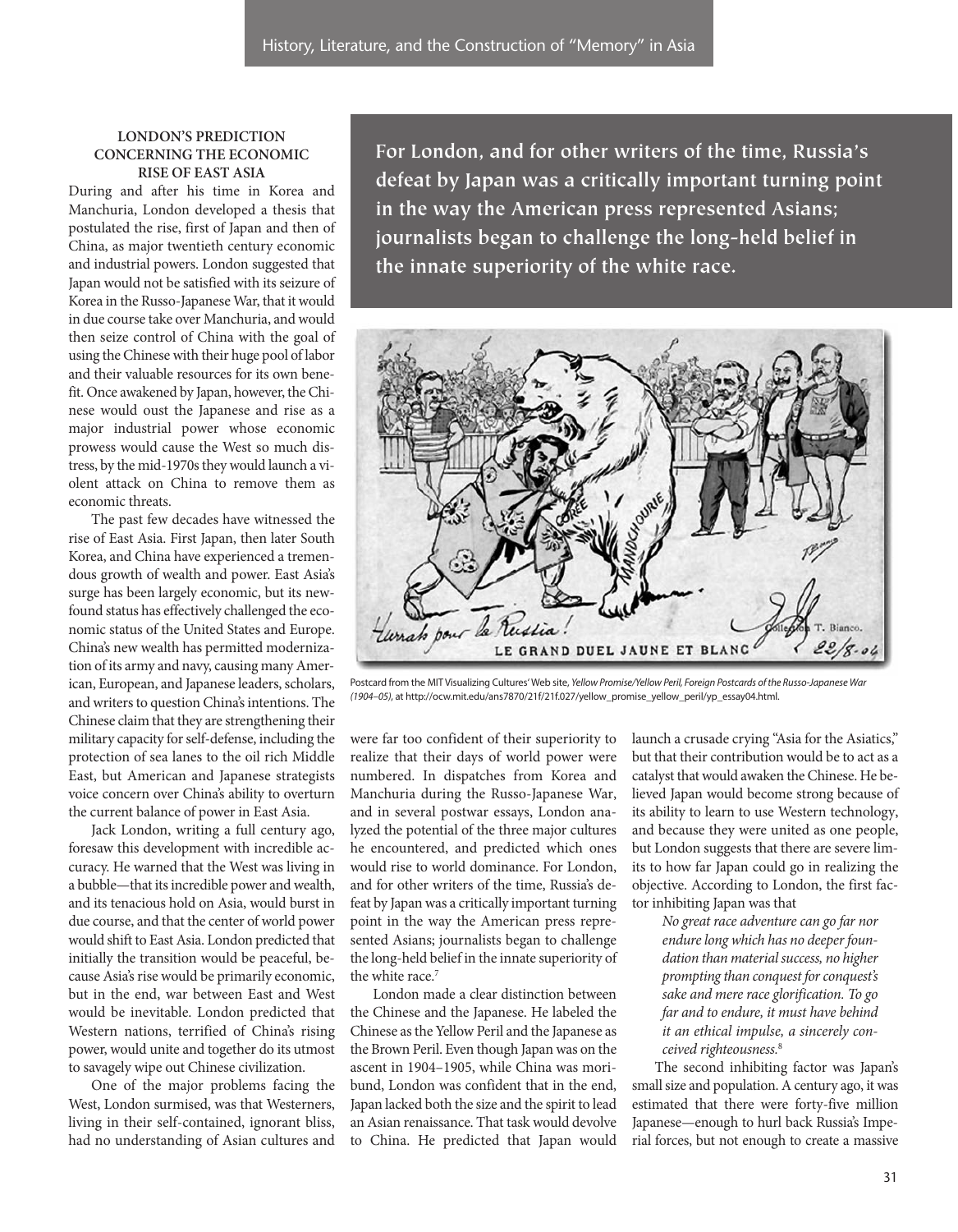# **LONDON'S PREDICTION CONCERNING THE ECONOMIC RISE OF EAST ASIA**

During and after his time in Korea and Manchuria, London developed a thesis that postulated the rise, first of Japan and then of China, as major twentieth century economic and industrial powers. London suggested that Japan would not be satisfied with its seizure of Korea in the Russo-Japanese War, that it would in due course take over Manchuria, and would then seize control of China with the goal of using the Chinese with their huge pool of labor and their valuable resources for its own benefit. Once awakened by Japan, however, the Chinese would oust the Japanese and rise as a major industrial power whose economic prowess would cause the West so much distress, by the mid-1970s they would launch a violent attack on China to remove them as economic threats.

The past few decades have witnessed the rise of East Asia. First Japan, then later South Korea, and China have experienced a tremendous growth of wealth and power. East Asia's surge has been largely economic, but its newfound status has effectively challenged the economic status of the United States and Europe. China's new wealth has permitted modernization of its army and navy, causing many American, European, and Japanese leaders, scholars, and writers to question China's intentions. The Chinese claim that they are strengthening their military capacity for self-defense, including the protection of sea lanes to the oil rich Middle East, but American and Japanese strategists voice concern over China's ability to overturn the current balance of power in East Asia.

Jack London, writing a full century ago, foresaw this development with incredible accuracy. He warned that the West was living in a bubble—that its incredible power and wealth, and its tenacious hold on Asia, would burst in due course, and that the center of world power would shift to East Asia. London predicted that initially the transition would be peaceful, because Asia's rise would be primarily economic, but in the end, war between East and West would be inevitable. London predicted that Western nations, terrified of China's rising power, would unite and together do its utmost to savagely wipe out Chinese civilization.

One of the major problems facing the West, London surmised, was that Westerners, living in their self-contained, ignorant bliss, had no understanding of Asian cultures and

**For London, and for other writers of the time, Russia's defeat by Japan was a critically important turning point in the way the American press represented Asians; journalists began to challenge the long-held belief in the innate superiority of the white race.**



Postcard from the MIT Visualizing Cultures' Web site, Yellow Promise/Yellow Peril, Foreign Postcards of the Russo-Japanese War (1904–05), at http://ocw.mit.edu/ans7870/21f/21f.027/yellow\_promise\_yellow\_peril/yp\_essay04.html.

were far too confident of their superiority to realize that their days of world power were numbered. In dispatches from Korea and Manchuria during the Russo-Japanese War, and in several postwar essays, London analyzed the potential of the three major cultures he encountered, and predicted which ones would rise to world dominance. For London, and for other writers of the time, Russia's defeat by Japan was a critically important turning point in the way the American press represented Asians; journalists began to challenge the long-held belief in the innate superiority of the white race.<sup>7</sup>

London made a clear distinction between the Chinese and the Japanese. He labeled the Chinese as the Yellow Peril and the Japanese as the Brown Peril. Even though Japan was on the ascent in 1904–1905, while China was moribund, London was confident that in the end, Japan lacked both the size and the spirit to lead an Asian renaissance. That task would devolve to China. He predicted that Japan would

launch a crusade crying "Asia for the Asiatics," but that their contribution would be to act as a catalyst that would awaken the Chinese. He believed Japan would become strong because of its ability to learn to use Western technology, and because they were united as one people, but London suggests that there are severe limits to how far Japan could go in realizing the objective. According to London, the first factor inhibiting Japan was that

> No great race adventure can go far nor endure long which has no deeper foundation than material success, no higher prompting than conquest for conquest's sake and mere race glorification. To go far and to endure, it must have behind it an ethical impulse, a sincerely conceived righteousness.<sup>8</sup>

The second inhibiting factor was Japan's small size and population. A century ago, it was estimated that there were forty-five million Japanese—enough to hurl back Russia's Imperial forces, but not enough to create a massive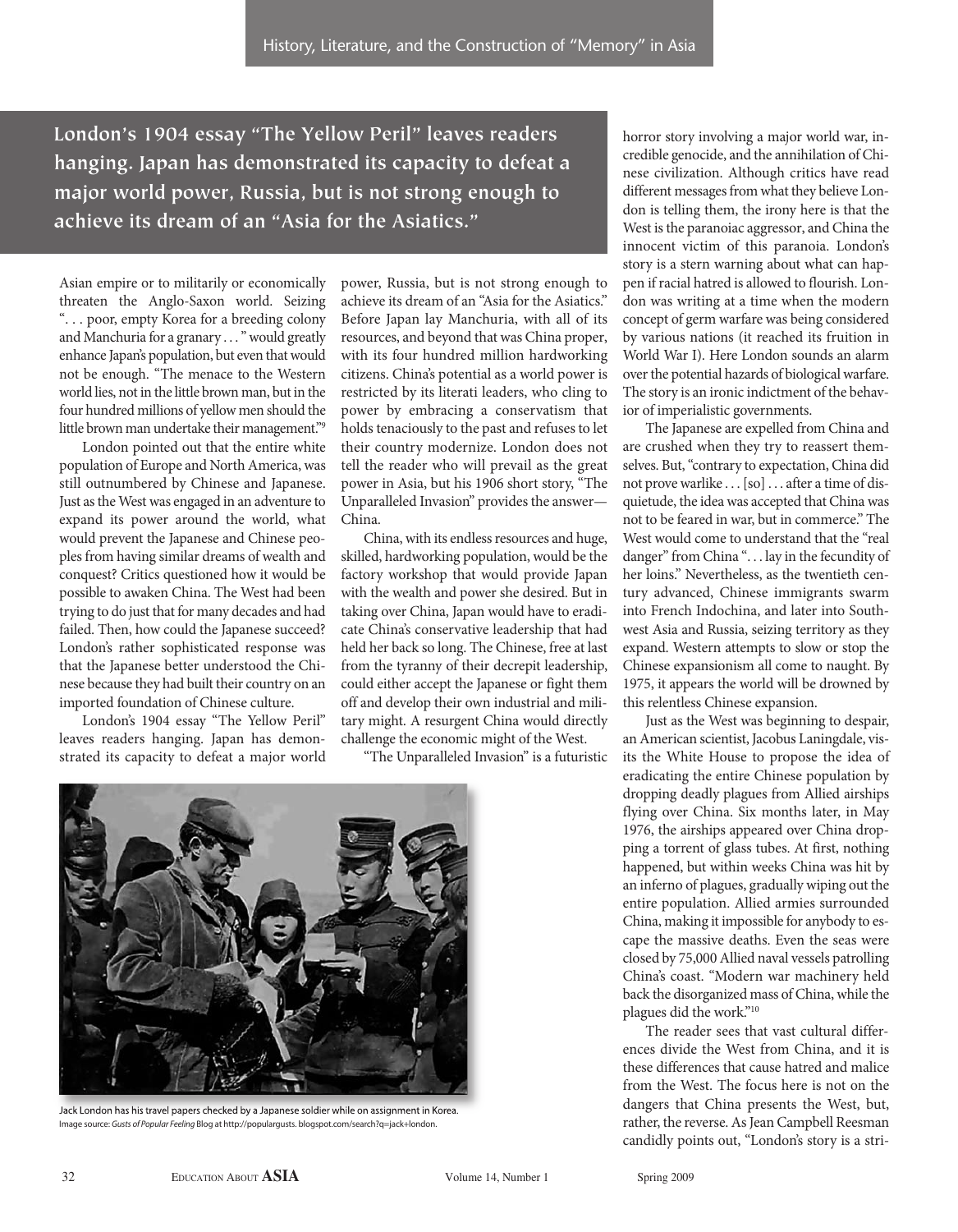**London's 1904 essay "The Yellow Peril" leaves readers hanging. Japan has demonstrated its capacity to defeat a major world power, Russia, but is not strong enough to achieve its dream of an "Asia for the Asiatics."**

Asian empire or to militarily or economically threaten the Anglo-Saxon world. Seizing ". . . poor, empty Korea for a breeding colony and Manchuria for a granary . . . " would greatly enhance Japan's population, but even that would not be enough. "The menace to the Western world lies, not in the little brown man, but in the four hundred millions of yellow men should the little brown man undertake their management."9

London pointed out that the entire white population of Europe and North America, was still outnumbered by Chinese and Japanese. Just as the West was engaged in an adventure to expand its power around the world, what would prevent the Japanese and Chinese peoples from having similar dreams of wealth and conquest? Critics questioned how it would be possible to awaken China. The West had been trying to do just that for many decades and had failed. Then, how could the Japanese succeed? London's rather sophisticated response was that the Japanese better understood the Chinese because they had built their country on an imported foundation of Chinese culture.

London's 1904 essay "The Yellow Peril" leaves readers hanging. Japan has demonstrated its capacity to defeat a major world power, Russia, but is not strong enough to achieve its dream of an "Asia for the Asiatics." Before Japan lay Manchuria, with all of its resources, and beyond that was China proper, with its four hundred million hardworking citizens. China's potential as a world power is restricted by its literati leaders, who cling to power by embracing a conservatism that holds tenaciously to the past and refuses to let their country modernize. London does not tell the reader who will prevail as the great power in Asia, but his 1906 short story, "The Unparalleled Invasion" provides the answer— China.

China, with its endless resources and huge, skilled, hardworking population, would be the factory workshop that would provide Japan with the wealth and power she desired. But in taking over China, Japan would have to eradicate China's conservative leadership that had held her back so long. The Chinese, free at last from the tyranny of their decrepit leadership, could either accept the Japanese or fight them off and develop their own industrial and military might. A resurgent China would directly challenge the economic might of the West.

"The Unparalleled Invasion" is a futuristic



Jack London has his travel papers checked by a Japanese soldier while on assignment in Korea. Image source: Gusts of Popular Feeling Blog at http://populargusts. blogspot.com/search?q=jack+london.

horror story involving a major world war, incredible genocide, and the annihilation of Chinese civilization. Although critics have read different messages from what they believe London is telling them, the irony here is that the West is the paranoiac aggressor, and China the innocent victim of this paranoia. London's story is a stern warning about what can happen if racial hatred is allowed to flourish. London was writing at a time when the modern concept of germ warfare was being considered by various nations (it reached its fruition in World War I). Here London sounds an alarm over the potential hazards of biological warfare. The story is an ironic indictment of the behavior of imperialistic governments.

The Japanese are expelled from China and are crushed when they try to reassert themselves. But, "contrary to expectation, China did not prove warlike . . . [so] . . . after a time of disquietude, the idea was accepted that China was not to be feared in war, but in commerce." The West would come to understand that the "real danger" from China "... lay in the fecundity of her loins." Nevertheless, as the twentieth century advanced, Chinese immigrants swarm into French Indochina, and later into Southwest Asia and Russia, seizing territory as they expand. Western attempts to slow or stop the Chinese expansionism all come to naught. By 1975, it appears the world will be drowned by this relentless Chinese expansion.

Just as the West was beginning to despair, an American scientist, Jacobus Laningdale, visits the White House to propose the idea of eradicating the entire Chinese population by dropping deadly plagues from Allied airships flying over China. Six months later, in May 1976, the airships appeared over China dropping a torrent of glass tubes. At first, nothing happened, but within weeks China was hit by an inferno of plagues, gradually wiping out the entire population. Allied armies surrounded China, making it impossible for anybody to escape the massive deaths. Even the seas were closed by 75,000 Allied naval vessels patrolling China's coast. "Modern war machinery held back the disorganized mass of China, while the plagues did the work."10

The reader sees that vast cultural differences divide the West from China, and it is these differences that cause hatred and malice from the West. The focus here is not on the dangers that China presents the West, but, rather, the reverse. As Jean Campbell Reesman candidly points out, "London's story is a stri